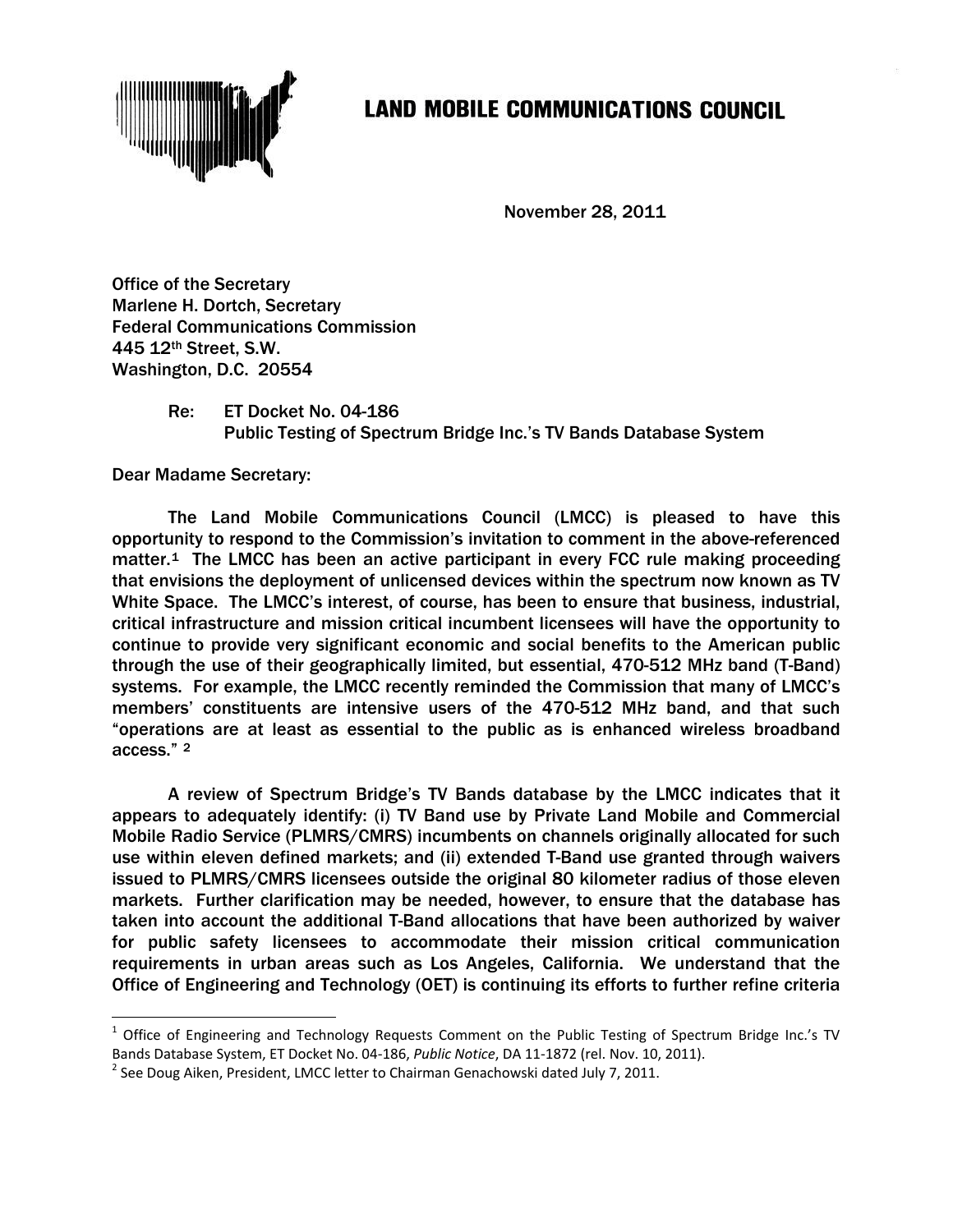

## **LAND MOBILE COMMUNICATIONS COUNCIL**

November 28, 2011

Office of the Secretary Marlene H. Dortch, Secretary Federal Communications Commission 445 12th Street, S.W. Washington, D.C. 20554

> Re: ET Docket No. 04-186 Public Testing of Spectrum Bridge Inc.'s TV Bands Database System

Dear Madame Secretary:

The Land Mobile Communications Council (LMCC) is pleased to have this opportunity to respond to the Commission's invitation to comment in the above-referenced matter.[1](#page-0-0) The LMCC has been an active participant in every FCC rule making proceeding that envisions the deployment of unlicensed devices within the spectrum now known as TV White Space. The LMCC's interest, of course, has been to ensure that business, industrial, critical infrastructure and mission critical incumbent licensees will have the opportunity to continue to provide very significant economic and social benefits to the American public through the use of their geographically limited, but essential, 470-512 MHz band (T-Band) systems. For example, the LMCC recently reminded the Commission that many of LMCC's members' constituents are intensive users of the 470-512 MHz band, and that such "operations are at least as essential to the public as is enhanced wireless broadband access." [2](#page-0-1)

A review of Spectrum Bridge's TV Bands database by the LMCC indicates that it appears to adequately identify: (i) TV Band use by Private Land Mobile and Commercial Mobile Radio Service (PLMRS/CMRS) incumbents on channels originally allocated for such use within eleven defined markets; and (ii) extended T-Band use granted through waivers issued to PLMRS/CMRS licensees outside the original 80 kilometer radius of those eleven markets. Further clarification may be needed, however, to ensure that the database has taken into account the additional T-Band allocations that have been authorized by waiver for public safety licensees to accommodate their mission critical communication requirements in urban areas such as Los Angeles, California. We understand that the Office of Engineering and Technology (OET) is continuing its efforts to further refine criteria

<span id="page-0-0"></span> $1$  Office of Engineering and Technology Requests Comment on the Public Testing of Spectrum Bridge Inc.'s TV Bands Database System, ET Docket No. 04-186, *Public Notice*, DA 11-1872 (rel. Nov. 10, 2011).<br><sup>2</sup> See Doug Aiken, President, LMCC letter to Chairman Genachowski dated July 7, 2011.

<span id="page-0-1"></span>